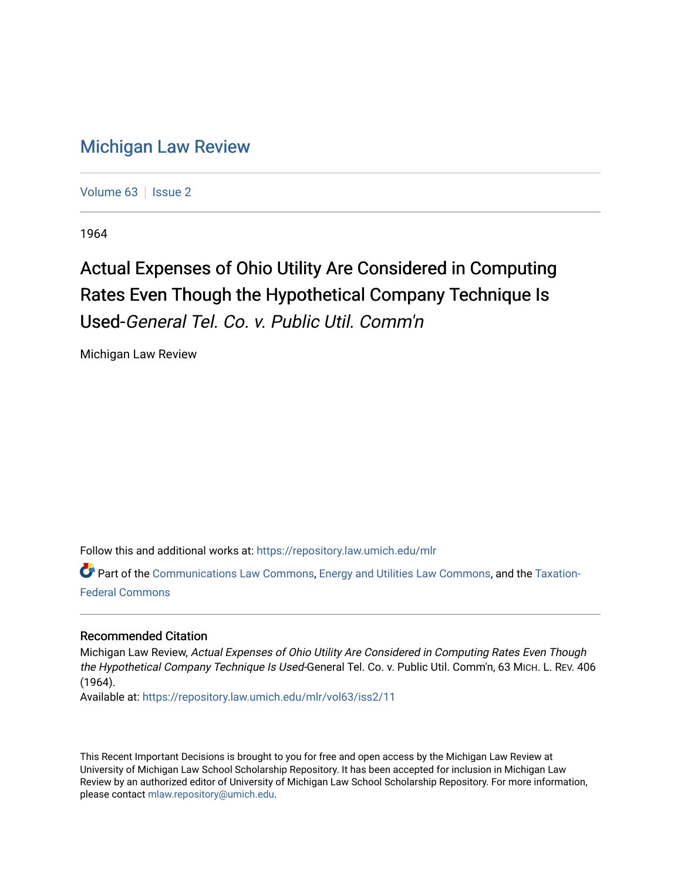## [Michigan Law Review](https://repository.law.umich.edu/mlr)

[Volume 63](https://repository.law.umich.edu/mlr/vol63) | [Issue 2](https://repository.law.umich.edu/mlr/vol63/iss2)

1964

## Actual Expenses of Ohio Utility Are Considered in Computing Rates Even Though the Hypothetical Company Technique Is Used-General Tel. Co. v. Public Util. Comm'n

Michigan Law Review

Follow this and additional works at: [https://repository.law.umich.edu/mlr](https://repository.law.umich.edu/mlr?utm_source=repository.law.umich.edu%2Fmlr%2Fvol63%2Fiss2%2F11&utm_medium=PDF&utm_campaign=PDFCoverPages) 

Part of the [Communications Law Commons,](http://network.bepress.com/hgg/discipline/587?utm_source=repository.law.umich.edu%2Fmlr%2Fvol63%2Fiss2%2F11&utm_medium=PDF&utm_campaign=PDFCoverPages) [Energy and Utilities Law Commons](http://network.bepress.com/hgg/discipline/891?utm_source=repository.law.umich.edu%2Fmlr%2Fvol63%2Fiss2%2F11&utm_medium=PDF&utm_campaign=PDFCoverPages), and the [Taxation-](http://network.bepress.com/hgg/discipline/881?utm_source=repository.law.umich.edu%2Fmlr%2Fvol63%2Fiss2%2F11&utm_medium=PDF&utm_campaign=PDFCoverPages)[Federal Commons](http://network.bepress.com/hgg/discipline/881?utm_source=repository.law.umich.edu%2Fmlr%2Fvol63%2Fiss2%2F11&utm_medium=PDF&utm_campaign=PDFCoverPages)

## Recommended Citation

Michigan Law Review, Actual Expenses of Ohio Utility Are Considered in Computing Rates Even Though the Hypothetical Company Technique Is Used-General Tel. Co. v. Public Util. Comm'n, 63 MICH. L. REV. 406 (1964).

Available at: [https://repository.law.umich.edu/mlr/vol63/iss2/11](https://repository.law.umich.edu/mlr/vol63/iss2/11?utm_source=repository.law.umich.edu%2Fmlr%2Fvol63%2Fiss2%2F11&utm_medium=PDF&utm_campaign=PDFCoverPages) 

This Recent Important Decisions is brought to you for free and open access by the Michigan Law Review at University of Michigan Law School Scholarship Repository. It has been accepted for inclusion in Michigan Law Review by an authorized editor of University of Michigan Law School Scholarship Repository. For more information, please contact [mlaw.repository@umich.edu.](mailto:mlaw.repository@umich.edu)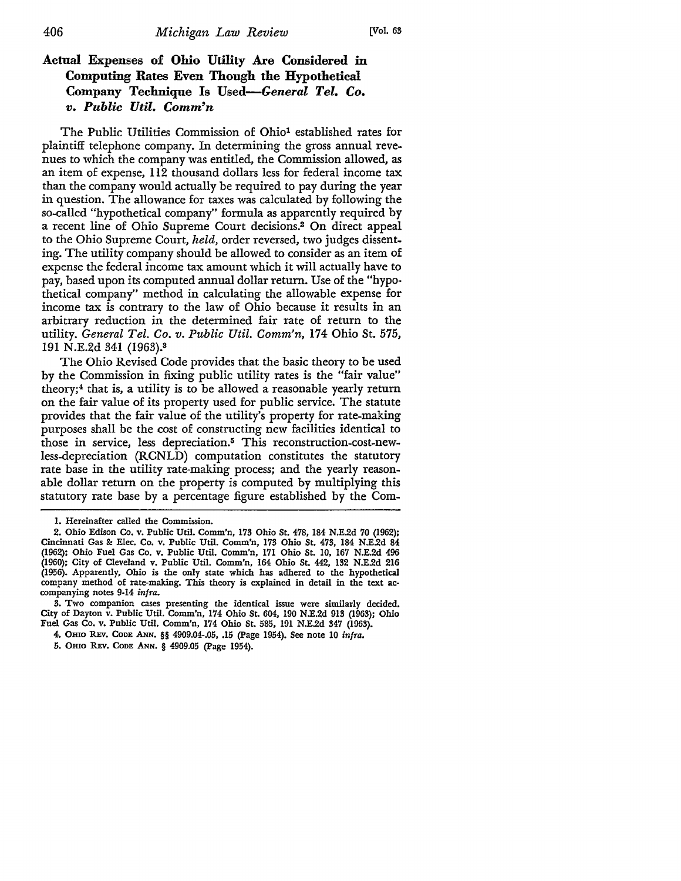## **Actual Expenses of Ohio Utility Are Considered** in **Computing Rates Even Though the Hypothetical Company Technique Is** *Used-General Tel. Co. v. Public Util. Comm'n*

The Public Utilities Commission of Ohio<sup>1</sup> established rates for plaintiff telephone company. In determining the gross annual revenues to which the company was entitled, the Commission allowed, as an item of expense, 112 thousand dollars less for federal income tax than the company would actually be required to pay during the year in question. The allowance for taxes was calculated by following the so-called "hypothetical company" formula as apparently required by a recent line of Ohio Supreme Court decisions.2 On direct appeal to the Ohio Supreme Court, *held,* order reversed, two judges dissenting. The utility company should be allowed to consider as an item of expense the federal income tax amount which it will actually have to pay, based upon its computed annual dollar return. Use of the "hypothetical company" method in calculating the allowable expense for income tax is contrary to the law of Ohio because it results in an arbitrary reduction in the determined fair rate of return to the utility. *General Tel. Co. v. Public Util. Comm'n,* 174 Ohio St. 575, 191 N.E.2d 341 (1963).<sup>3</sup>

The Ohio Revised Code provides that the basic theory to be used by the Commission in fixing public utility rates is the "fair value" theory; $<sup>4</sup>$  that is, a utility is to be allowed a reasonable yearly return</sup> on the fair value of its property used for public service. The statute provides that the fair value of the utility's property for rate-making purposes shall be the cost of constructing new facilities identical to those in service, less depreciation.<sup>5</sup> This reconstruction-cost-newless-depreciation (RCNLD) computation constitutes the statutory rate base in the utility rate-making process; and the yearly reasonable dollar return on the property is computed by multiplying this statutory rate base by a percentage figure established by the Com-

3. Two companion cases presenting the identical issue were similarly decided, City of Dayton v. Public Util. Comm'n, 174 Ohio St. 604, 190 N.E.2d 913 (1963); Ohio Fuel Gas Co. v. Public Util. Comm'n, 174 Ohio St. 585, 191 N.E.2d 347 (1963).

5. Omo REv. CoDE ANN. § 4909.05 (Page 1954).

I. Hereinafter called the Commission.

<sup>2.</sup> Ohio Edison Co. v. Public Util. Comm'n, 173 Ohio St. 478, 184 N.E.2d 70 (1962); Cincinnati Gas&: Elec. Co. v. Public Util. Comm'n, 173 Ohio St. 473, 184 N.E.2d 84 (1962); Ohio Fuel Gas Co. v. Public Util. Comm'n, 171 Ohio St. 10, 167 N.E.2d 496 (1960); City of Cleveland v. Public Util. Comm'n, 164 Ohio St. 442, 132 N.E.2d 216 (1956). Apparently, Ohio is the only state which has adhered to the hypothetical company method of rate-making. This theory is explained in detail in the text accompanying notes 9-14 infra.

<sup>4.</sup> OHIO REV. CODE ANN. §§ 4909.04-.05, .15 (Page 1954). See note 10 infra.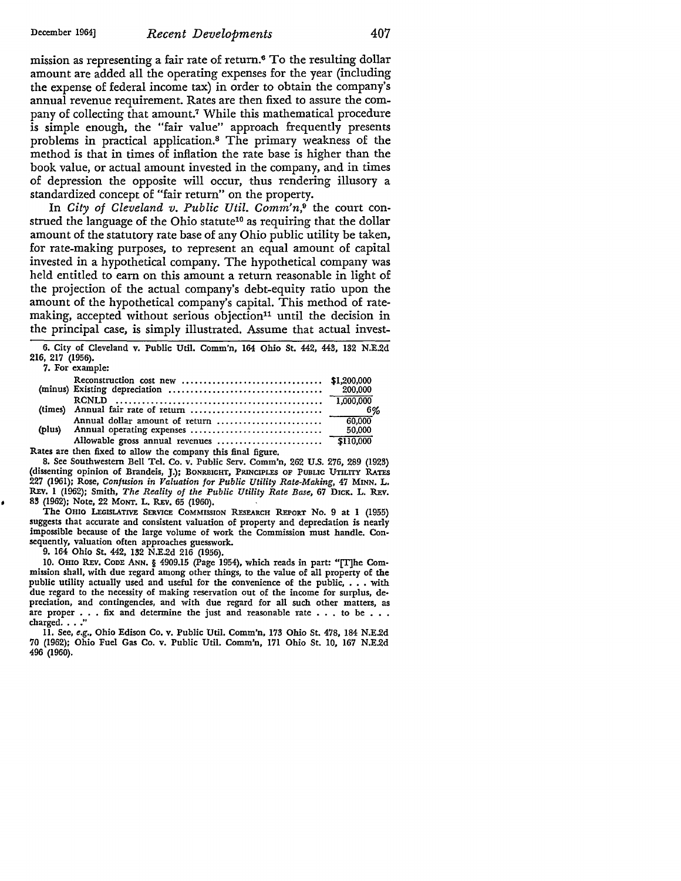mission as representing a fair rate of return.6 To the resulting dollar amount are added all the operating expenses for the year (including the expense of federal income tax) in order to obtain the company's annual revenue requirement. Rates are then fixed to assure the company of collecting that amount.<sup>7</sup> While this mathematical procedure is simple enough, the "fair value" approach frequently presents problems in practical application.8 The primary weakness of the method is that in times of inflation the rate base is higher than the book value, or actual amount invested in the company, and in times of depression the opposite will occur, thus rendering illusory a standardized concept of "fair return" on the property.

In *City of Cleveland v. Public Util. Comm'n,9* the court construed the language of the Ohio statute<sup>10</sup> as requiring that the dollar amount of the statutory rate base of any Ohio public utility be taken, for rate-making purposes, to represent an equal amount of capital invested in a hypothetical company. The hypothetical company was held entitled to earn on this amount a return reasonable in light of the projection of the actual company's debt-equity ratio upon the amount of the hypothetical company's capital. This method of ratemaking, accepted without serious objection<sup>11</sup> until the decision in the principal case, is simply illustrated. Assume that actual invest-

6. City of Cleveland v. Public Util. Comm'n, 164 Ohio St. 442, 443, 132 N.E.2d 216, 217 (1956). 7. For example:

|        | - 6%      |
|--------|-----------|
|        | $-60,000$ |
| (plus) | 50,000    |
|        |           |
|        |           |

Rates are then fixed to allow the company this final figure.

8. See Southwestern Bell Tel. Co. v. Public Serv. Comm'n, 262 U.S. 276, 289 (1923) (dissenting opinion of Brandeis, J.); BONRBIGHT, PRINCIPLES OF PUBLIC UTILITY RATES 227 (1961); Rose, *Confusion in Valuation for Public Utility Rate-Making,* 47 MINN. L. REY. 1 (1962); Smith, *The Reality of the Public Utility Rate Base,* 67 DICK. L. REv. 83 (1962); Note, 22 MONT. L. REY. 65 (1960).

The OHIO LEGISLATIVE SERVICE COMMISSION REsEARCH REPORT No. 9 at 1 (1955) suggests that accurate and consistent valuation of property and depreciation is nearly impossible because of the large volume of work the Commission must handle. Consequently, valuation often approaches guesswork.

9. 164 Ohio St. 442, 132 N.E.2d 216 (1956).

10. OHio REY. ConE ANN. § 4909.15 (Page 1954), which reads in part: "[T)he Commission shall, with due regard among other things, to the value of all property of the public utility actually used and useful for the convenience of the public, . . . with due regard to the necessity of making reservation out of the income for surplus, de• predation, and contingencies, and with due regard for all such other matters, as are proper  $\ldots$  fix and determine the just and reasonable rate  $\ldots$  to be  $\ldots$  charged  $\ldots$  "

11. See, *e.g.,* Ohio Edison Co. v. Public Util. Comm'n, 173 Ohio St. 478, 184 N.E.2d 70 (1962); Ohio Fuel Gas Co. v. Public Util. Comm'n, 171 Ohio St. IO, 167 N.E.2d 496 (1960).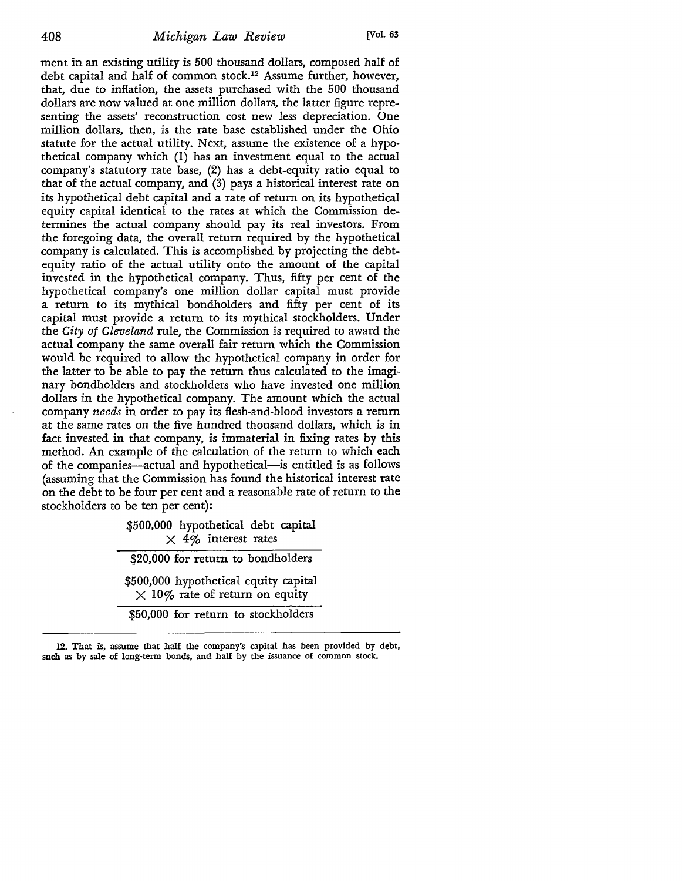ment in an existing utility is 500 thousand dollars, composed half of debt capital and half of common stock.12 Assume further, however, that, due to inflation, the assets purchased with the 500 thousand dollars are now valued at one million dollars, the latter figure representing the assets' reconstruction cost new less depreciation. One million dollars, then, is the rate base established under the Ohio statute for the actual utility. Next, assume the existence of a hypothetical company which (1) has an investment equal to the actual company's statutory rate base, (2) has a debt-equity ratio equal to that of the actual company, and (3) pays a historical interest rate on its hypothetical debt capital and a rate of return on its hypothetical equity capital identical to the rates at which the Commission determines the actual company should pay its real investors. From the foregoing data, the overall return required by the hypothetical company is calculated. This is accomplished by projecting the debtequity ratio of the actual utility onto the amount of the capital invested in the hypothetical company. Thus, fifty per cent of the hypothetical company's one million dollar capital must provide a return to its mythical bondholders and fifty per cent of its capital must provide a return to its mythical stockholders. Under the *City of Cleveland* rule, the Commission is required to award the actual company the same overall fair return which the Commission would be required to allow the hypothetical company in order for the latter to be able to pay the return thus calculated to the imaginary bondholders and stockholders who have invested one million dollars in the hypothetical company. The amount which the actual company *needs* in order to pay its flesh-and-blood investors a return at the same rates on the five hundred thousand dollars, which is in fact invested in that company, is immaterial in fixing rates by this method. An example of the calculation of the return to which each of the companies-actual and hypothetical-is entitled is as follows (assuming that the Commission has found the historical interest rate on the debt to be four per cent and a reasonable rate of return to the stockholders to be ten per cent):

> \$500,000 hypothetical debt capital  $\times$  4% interest rates \$20,000 for return to bondholders \$500,000 hypothetical equity capital  $\times$  10% rate of return on equity \$50,000 for return to stockholders

12. That is, assume that half the company's capital has been provided by debt, such as by sale of long-term bonds, and half by the issuance of common stock.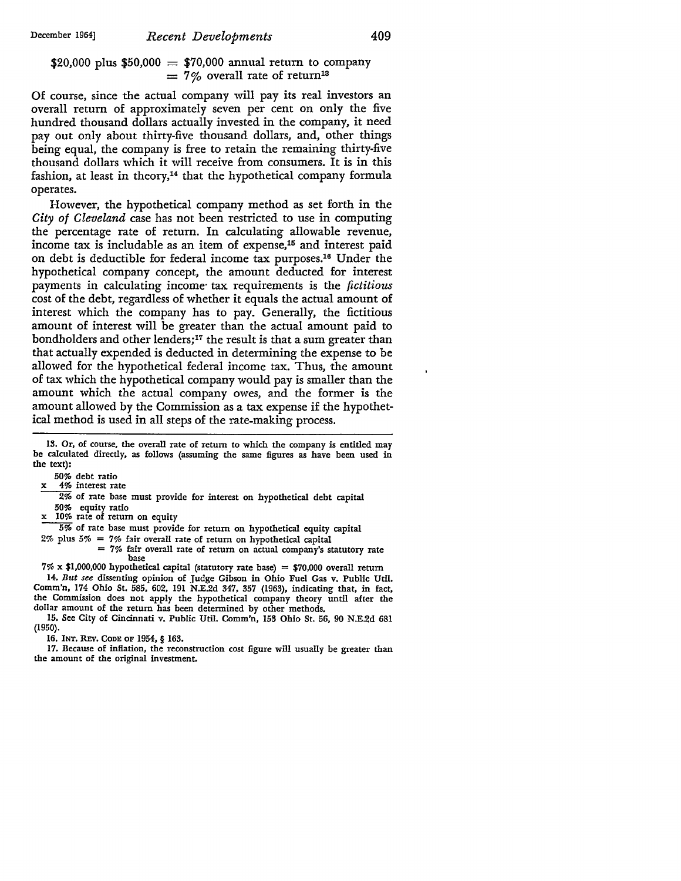\$20,000 plus \$50,000 = \$70,000 annual return to company  $= 7\%$  overall rate of return<sup>13</sup>

Of course, since the actual company will pay its real investors an overall return of approximately seven per cent on only the five hundred thousand dollars actually invested in the company, it need pay out only about thirty-five thousand dollars, and, other things being equal, the company is free to retain the remaining thirty-five thousand dollars which it will receive from consumers. It is in this fashion, at least in theory,<sup>14</sup> that the hypothetical company formula operates.

However, the hypothetical company method as set forth in the *City of Cleveland* case has not been restricted to use in computing the percentage rate of return. In calculating allowable revenue, income tax is includable as an item of expense,15 and interest paid on debt is deductible for federal income tax purposes.16 Under the hypothetical company concept, the amount deducted for interest payments in calculating income· tax requirements is the *fictitious*  cost of the debt, regardless of whether it equals the actual amount of interest which the company has to pay. Generally, the fictitious amount of interest will be greater than the actual amount paid to bondholders and other lenders; 17 the result is that a sum greater than that actually expended is deducted in determining the expense to be allowed for the hypothetical federal income tax. Thus, the amount of tax which the hypothetical company would pay is smaller than the amount which the actual company owes, and the former is the amount allowed by the Commission as a tax expense if the hypothetical method is used in all steps of the rate-making process.

13. Or, of course, the overall rate of return to which the company is entitled may be calculated directly, as follows (assuming the same figures as have been used in the text):

50% debt ratio<br>4% interest rate

 $2\%$  of rate base must provide for interest on hypothetical debt capital 50% equity ratio

10% rate of return on equity

5% of rate base must provide for return on hypothetical equity capital

2% plus 5% = 7% fair overall rate of return on hypothetical capital

 $= 7\%$  fair overall rate of return on actual company's statutory rate base

 $7\% \times $1,000,000$  hypothetical capital (statutory rate base) = \$70,000 overall return 14. *But see* dissenting opinion of Judge Gibson in Ohio Fuel Gas v. Public Util. Comm'n, 174 Ohio St. 585, 602, 191 N.E.2d 347, 357 (1963), indicating that, in fact, the Commission does not apply the hypothetical company theory until after the dollar amount of the return has been determined by other methods.

15, See City of Cincinnati v. Public Util. Comm'n, 153 Ohio St. 56, 90 N.E.2d 681 (1950).

16. INT. REV. CODE OF 1954, § 163.

17. Because of inflation, the reconstruction cost figure will usually be greater than the amount of the original investment.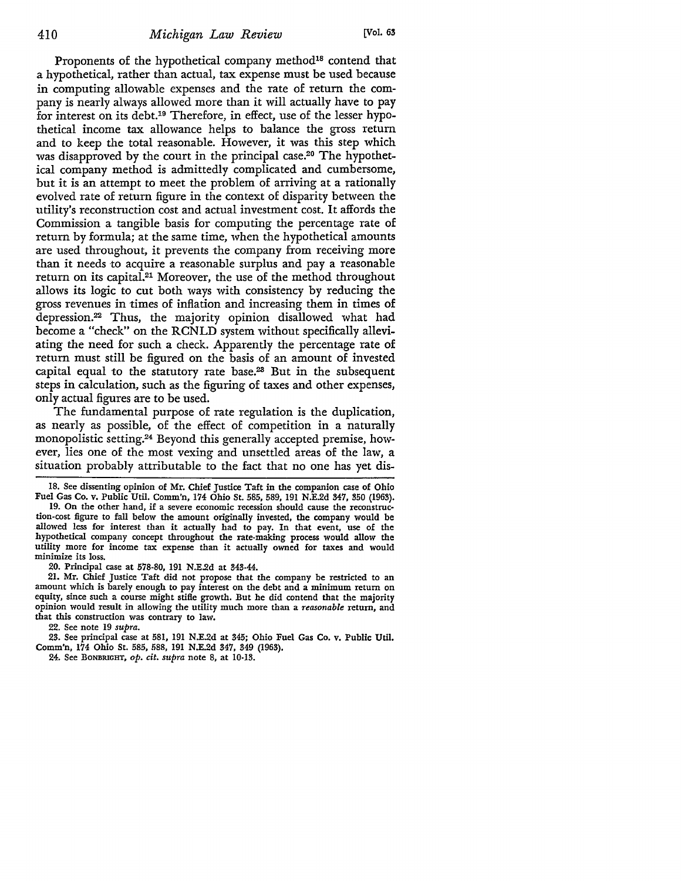Proponents of the hypothetical company method<sup>18</sup> contend that a hypothetical, rather than actual, tax expense must be used because in computing allowable expenses and the rate of return the company is nearly always allowed more than it will actually have to pay for interest on its debt.19 Therefore, in effect, use of the lesser hypothetical income tax allowance helps to balance the gross return and to keep the total reasonable. However, it was this step which was disapproved by the court in the principal case.<sup>20</sup> The hypothetical company method is admittedly complicated and cumbersome, but it is an attempt to meet the problem of arriving at a rationally evolved rate of return figure in the context of disparity between the utility's reconstruction cost and actual investment cost. It affords the Commission a tangible basis for computing the percentage rate of return by formula; at the same time, when the hypothetical amounts are used throughout, it prevents the company from receiving more than it needs to acquire a reasonable surplus and pay a reasonable return on its capital.<sup>21</sup> Moreover, the use of the method throughout allows its logic to cut both ways with consistency by reducing the gross revenues in times of inflation and increasing them in times of depression.22 Thus, the majority opinion disallowed what had become a "check" on the RCNLD system without specifically alleviating the need for such a check. Apparently the percentage rate of return must still be figured on the basis of an amount of invested capital equal to the statutory rate base.23 But in the subsequent steps in calculation, such as the figuring of taxes and other expenses, only actual figures are to be used.

The fundamental purpose of rate regulation is the duplication, as nearly as possible, of the effect of competition in a naturally monopolistic setting.<sup>24</sup> Beyond this generally accepted premise, however, lies one of the most vexing and unsettled areas of the law, a situation probably attributable to the fact that no one has yet dis-

18. See dissenting opinion of Mr. Chief Justice Taft in the companion case of Ohio Fuel Gas Co. v. Public Util. Comm'n, 174 Ohio St. 585, 589, 191 N.E.2d 347, 350 (1963).

19. On the other hand, if a severe economic recession should cause the reconstruction-cost figure to fall below the amount originally invested, the company would be allowed less for interest than it actually had to pay. In that event, use of the hypothetical company concept throughout the rate-making process would allow the utility more for income tax expense than it actually owned for taxes and would minimize its loss.

20. Principal case at 578-80, 191 N.E.2d at 343-44.

21. Mr. Chief Justice Taft did not propose that the company be restricted to an amount which is barely enough to pay interest on the debt and a minimum return on equity, since such a course might stifle growth. But he did contend that the majority opinion would result in allowing the utility much more than a *reasonable* return, and that this construction was contrary to law.

22. See note 19 *supra.* 

23. See principal case at 581, 191 N.E.2d at 345; Ohio Fuel Gas Co. v. Public Util. Comm'n, 174 Ohio St. 585, 588, 191 N.E.2d 347, 349 (1963).

24. See BoNBRIGHT, *op. cit. supra* note 8, at 10-13.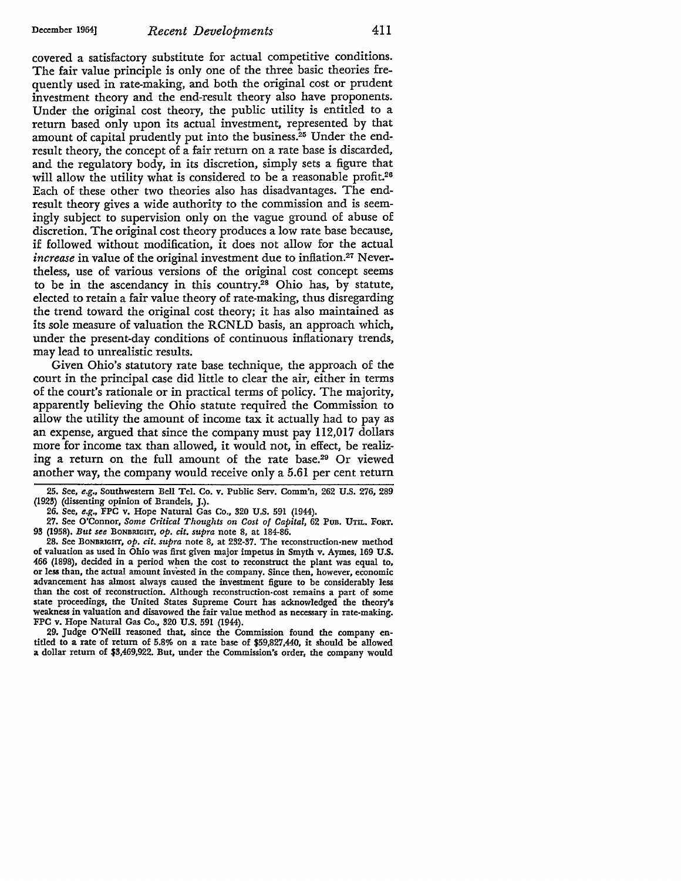covered a satisfactory substitute for actual competitive conditions. The fair value principle is only one of the three basic theories frequently used in rate-making, and both the original cost or prudent investment theory and the end-result theory also have proponents. Under the original cost theory, the public utility is entitled to a return based only upon its actual investment, represented by that amount of capital prudently put into the business.25 Under the endresult theory, the concept of a fair return on a rate base is discarded, and the regulatory body, in its discretion, simply sets a figure that will allow the utility what is considered to be a reasonable profit.<sup>26</sup> Each of these other two theories also has disadvantages. The endresult theory gives a wide authority to the commission and is seemingly subject to supervision only on the vague ground of abuse of discretion. The original cost theory produces a low rate base because, if followed without modification, it does not allow for the actual *increase* in value of the original investment due to inflation.<sup>27</sup> Nevertheless, use of various versions of the original cost concept seems to be in the ascendancy in this country.<sup>28</sup> Ohio has, by statute, elected to retain a fair value theory of rate-making, thus disregarding the trend toward the original cost theory; it has also maintained as its sole measure of valuation the RCNLD basis, an approach which, under the present-day conditions of continuous inflationary trends, may lead to unrealistic results.

Given Ohio's statutory rate base technique, the approach of the court in the principal case did little to clear the air, either in terms of the court's rationale or in practical terms of policy. The majority, apparently believing the Ohio statute required the Commission to allow the utility the amount of income tax it actually had to pay as an expense, argued that since the company must pay ll2,017 dollars more for income tax than allowed, it would not, in effect, be realizing a return on the full amount of the rate base.29 Or viewed another way, the company would receive only a 5.61 per cent return

25. See, *e.g.,* Southwestern Bell Tel. Co. v. Public Serv. Comm'n, 262 U.S. 276, 289 (1923) (dissenting opinion of Brandeis, J.).

26. See, e.g., FPC v. Hope Natural Gas Co., 320 U.S. 591 (1944).

27. See O'Connor, *Some Critical Thoughts on Cost of Capital,* 62 PUB. UTIL. FoRT. 93 (1958). *But see* BoNBRIGHT, *op. cit. supra* note 8, at 184-86.

28. See BoNBIUGHT, *op. cit. supra* note 8, at 232-37. The reconstruction-new method of valuation as used in Ohio was first given major impetus in Smyth v. Aymes, 169 U.S. 466 (1898), decided in a period when the cost to reconstruct the plant was equal to, or less than, the actual amount invested in the company. Since then, however, economic advancement has almost always caused the investment figure to be considerably less than the cost of reconstruction. Although reconstruction-cost remains a part of some state proceedings, the United States Supreme Court has acknowledged the theory's weakness in valuation and disavowed the fair value method as necessary in rate-making. FPC v. Hope Natural Gas Co., 320 U.S. 591 (1944).

29. Judge O'Neill reasoned that, since the Commission found the company entitled to a rate of return of 5.8% on a rate base of \$59,827,440, it should be allowed a dollar return of \$3,469,922. But, under the Commission's order, the company would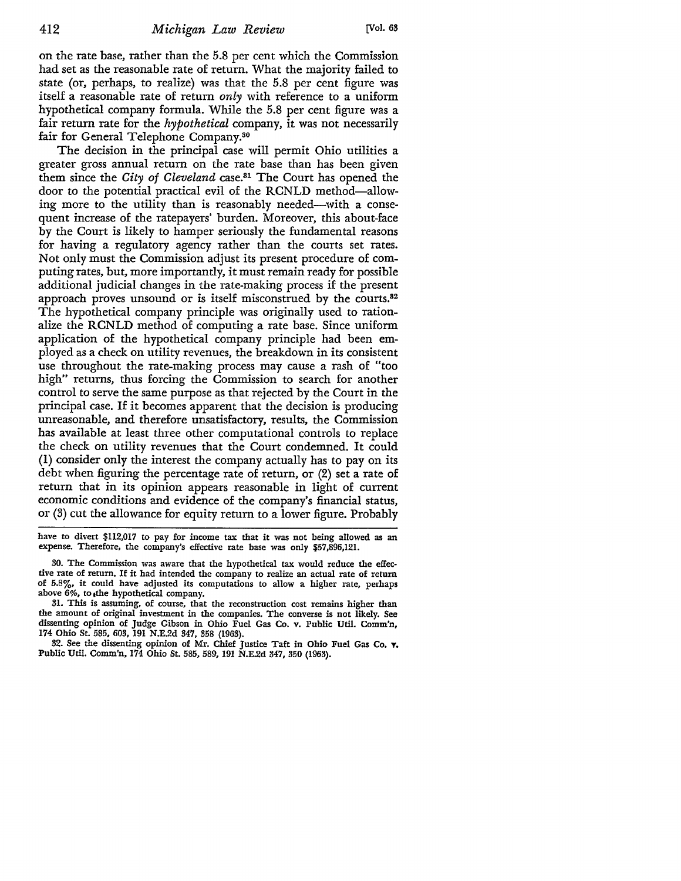on the rate base, rather than the 5.8 per cent which the Commission had set as the reasonable rate of return. What the majority failed to state (or, perhaps, to realize) was that the 5.8 per cent figure was itself a reasonable rate of return *only* with reference to a uniform hypothetical company formula. While the 5.8 per cent figure was a fair return rate for the *hypothetical* company, it was not necessarily fair for General Telephone Company.30

The decision in the principal case will permit Ohio utilities a greater gross annual return on the rate base than has been given them since the *City of Cleveland* case.31 The Court has opened the door to the potential practical evil of the RCNLD method-allowing more to the utility than is reasonably needed-with a consequent increase of the ratepayers' burden. Moreover, this about-face by the Court is likely to hamper seriously the fundamental reasons for having a regulatory agency rather than the courts set rates. Not only must the Commission adjust its present procedure of computing rates, but, more importantly, it must remain ready for possible additional judicial changes in the rate-making process if the present approach proves unsound or is itself misconstrued by the courts.82 The hypothetical company principle was originally used to rationalize the RCNLD method of computing a rate base. Since uniform application of the hypothetical company principle had been employed as a check on utility revenues, the breakdown in its consistent use throughout the rate-making process may cause a rash of "too high" returns, thus forcing the Commission to search for another control to serve the same purpose as that rejected by the Court in the principal case. If it becomes apparent that the decision is producing unreasonable, and therefore unsatisfactory, results, the Commission has available at least three other computational controls to replace the check on utility revenues that the Court condemned. It could (1) consider only the interest the company actually has to pay on its debt when figuring the percentage rate of return, or (2) set a rate of return that in its opinion appears reasonable in light of current economic conditions and evidence of the company's financial status, or (3) cut the allowance for equity return to a lower figure. Probably

have to divert \$112,017 to pay for income tax that it was not being allowed as an expense. Therefore, the company's effective rate base was only \$57,896,121.

30. The Commission was aware that the hypothetical tax would reduce the effective rate of return. If it had intended the company to realize an actual rate of return of 5,8%, it could have adjusted its computations to allow a higher rate, perhaps above 6%, to ,the hypothetical company.

31. This is assuming, of course, that the reconstruction cost remains higher than the amount of original investment in the companies. The converse is not likely. See dissenting opinion of Judge Gibson in Ohio Fuel Gas Co. v. Public Util. Comm'n, 174 Ohio St. 585, 603, 191 N.E.2d 347, 358 (1963).

32. See the dissenting opinion of Mr. Chief Justice Taft in Ohio Fuel Gas Co. T, Public Util. Comm'n, 174 Ohio St. 585, 589, 191 N.E.2d 347, 350 (1963).